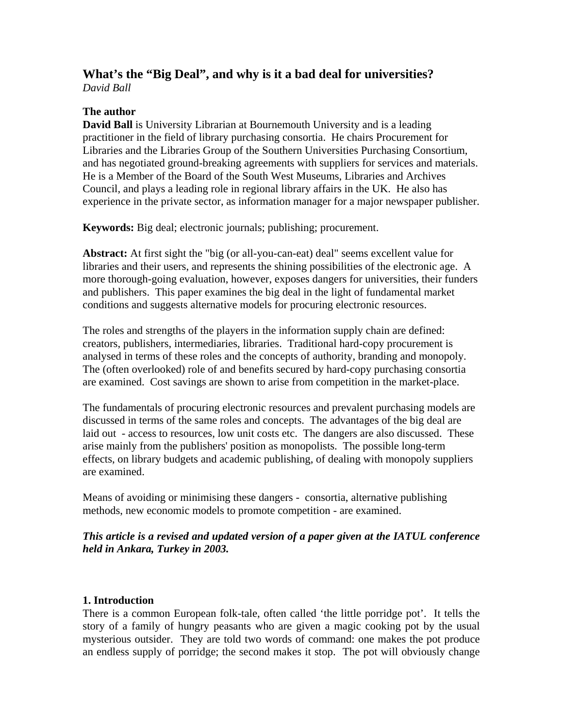# **What's the "Big Deal", and why is it a bad deal for universities?**  *David Ball*

### **The author**

**David Ball** is University Librarian at Bournemouth University and is a leading practitioner in the field of library purchasing consortia. He chairs Procurement for Libraries and the Libraries Group of the Southern Universities Purchasing Consortium, and has negotiated ground-breaking agreements with suppliers for services and materials. He is a Member of the Board of the South West Museums, Libraries and Archives Council, and plays a leading role in regional library affairs in the UK. He also has experience in the private sector, as information manager for a major newspaper publisher.

**Keywords:** Big deal; electronic journals; publishing; procurement.

**Abstract:** At first sight the "big (or all-you-can-eat) deal" seems excellent value for libraries and their users, and represents the shining possibilities of the electronic age. A more thorough-going evaluation, however, exposes dangers for universities, their funders and publishers. This paper examines the big deal in the light of fundamental market conditions and suggests alternative models for procuring electronic resources.

The roles and strengths of the players in the information supply chain are defined: creators, publishers, intermediaries, libraries. Traditional hard-copy procurement is analysed in terms of these roles and the concepts of authority, branding and monopoly. The (often overlooked) role of and benefits secured by hard-copy purchasing consortia are examined. Cost savings are shown to arise from competition in the market-place.

The fundamentals of procuring electronic resources and prevalent purchasing models are discussed in terms of the same roles and concepts. The advantages of the big deal are laid out - access to resources, low unit costs etc. The dangers are also discussed. These arise mainly from the publishers' position as monopolists. The possible long-term effects, on library budgets and academic publishing, of dealing with monopoly suppliers are examined.

Means of avoiding or minimising these dangers - consortia, alternative publishing methods, new economic models to promote competition - are examined.

*This article is a revised and updated version of a paper given at the IATUL conference held in Ankara, Turkey in 2003.* 

### **1. Introduction**

There is a common European folk-tale, often called 'the little porridge pot'. It tells the story of a family of hungry peasants who are given a magic cooking pot by the usual mysterious outsider. They are told two words of command: one makes the pot produce an endless supply of porridge; the second makes it stop. The pot will obviously change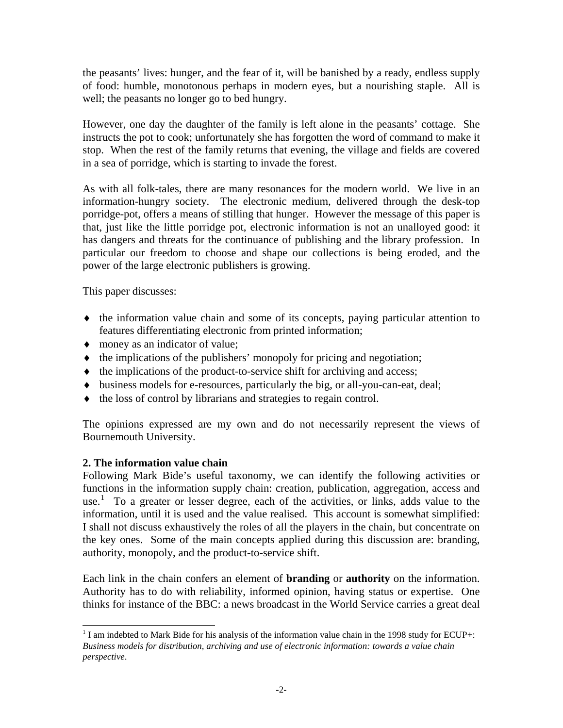the peasants' lives: hunger, and the fear of it, will be banished by a ready, endless supply of food: humble, monotonous perhaps in modern eyes, but a nourishing staple. All is well; the peasants no longer go to bed hungry.

However, one day the daughter of the family is left alone in the peasants' cottage. She instructs the pot to cook; unfortunately she has forgotten the word of command to make it stop. When the rest of the family returns that evening, the village and fields are covered in a sea of porridge, which is starting to invade the forest.

As with all folk-tales, there are many resonances for the modern world. We live in an information-hungry society. The electronic medium, delivered through the desk-top porridge-pot, offers a means of stilling that hunger. However the message of this paper is that, just like the little porridge pot, electronic information is not an unalloyed good: it has dangers and threats for the continuance of publishing and the library profession. In particular our freedom to choose and shape our collections is being eroded, and the power of the large electronic publishers is growing.

This paper discusses:

- ♦ the information value chain and some of its concepts, paying particular attention to features differentiating electronic from printed information;
- ♦ money as an indicator of value;
- ♦ the implications of the publishers' monopoly for pricing and negotiation;
- $\bullet$  the implications of the product-to-service shift for archiving and access;
- ♦ business models for e-resources, particularly the big, or all-you-can-eat, deal;
- ♦ the loss of control by librarians and strategies to regain control.

The opinions expressed are my own and do not necessarily represent the views of Bournemouth University.

#### **2. The information value chain**

 $\overline{a}$ 

Following Mark Bide's useful taxonomy, we can identify the following activities or functions in the information supply chain: creation, publication, aggregation, access and use.<sup>[1](#page-1-0)</sup> To a greater or lesser degree, each of the activities, or links, adds value to the information, until it is used and the value realised. This account is somewhat simplified: I shall not discuss exhaustively the roles of all the players in the chain, but concentrate on the key ones. Some of the main concepts applied during this discussion are: branding, authority, monopoly, and the product-to-service shift.

Each link in the chain confers an element of **branding** or **authority** on the information. Authority has to do with reliability, informed opinion, having status or expertise. One thinks for instance of the BBC: a news broadcast in the World Service carries a great deal

<span id="page-1-0"></span><sup>&</sup>lt;sup>1</sup> I am indebted to Mark Bide for his analysis of the information value chain in the 1998 study for ECUP+: *Business models for distribution, archiving and use of electronic information: towards a value chain perspective*.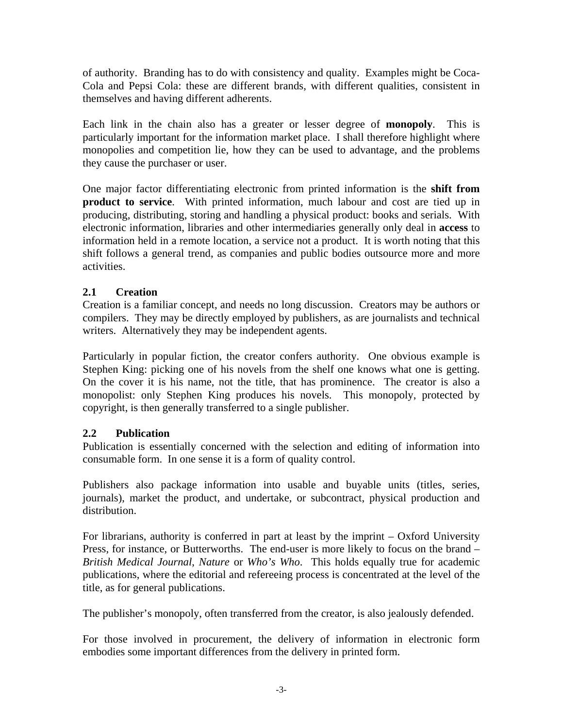of authority. Branding has to do with consistency and quality. Examples might be Coca-Cola and Pepsi Cola: these are different brands, with different qualities, consistent in themselves and having different adherents.

Each link in the chain also has a greater or lesser degree of **monopoly**. This is particularly important for the information market place. I shall therefore highlight where monopolies and competition lie, how they can be used to advantage, and the problems they cause the purchaser or user.

One major factor differentiating electronic from printed information is the **shift from product to service**. With printed information, much labour and cost are tied up in producing, distributing, storing and handling a physical product: books and serials. With electronic information, libraries and other intermediaries generally only deal in **access** to information held in a remote location, a service not a product. It is worth noting that this shift follows a general trend, as companies and public bodies outsource more and more activities.

## **2.1 Creation**

Creation is a familiar concept, and needs no long discussion. Creators may be authors or compilers. They may be directly employed by publishers, as are journalists and technical writers. Alternatively they may be independent agents.

Particularly in popular fiction, the creator confers authority. One obvious example is Stephen King: picking one of his novels from the shelf one knows what one is getting. On the cover it is his name, not the title, that has prominence. The creator is also a monopolist: only Stephen King produces his novels. This monopoly, protected by copyright, is then generally transferred to a single publisher.

### **2.2 Publication**

Publication is essentially concerned with the selection and editing of information into consumable form. In one sense it is a form of quality control.

Publishers also package information into usable and buyable units (titles, series, journals), market the product, and undertake, or subcontract, physical production and distribution.

For librarians, authority is conferred in part at least by the imprint – Oxford University Press, for instance, or Butterworths. The end-user is more likely to focus on the brand – *British Medical Journal*, *Nature* or *Who's Who*. This holds equally true for academic publications, where the editorial and refereeing process is concentrated at the level of the title, as for general publications.

The publisher's monopoly, often transferred from the creator, is also jealously defended.

For those involved in procurement, the delivery of information in electronic form embodies some important differences from the delivery in printed form.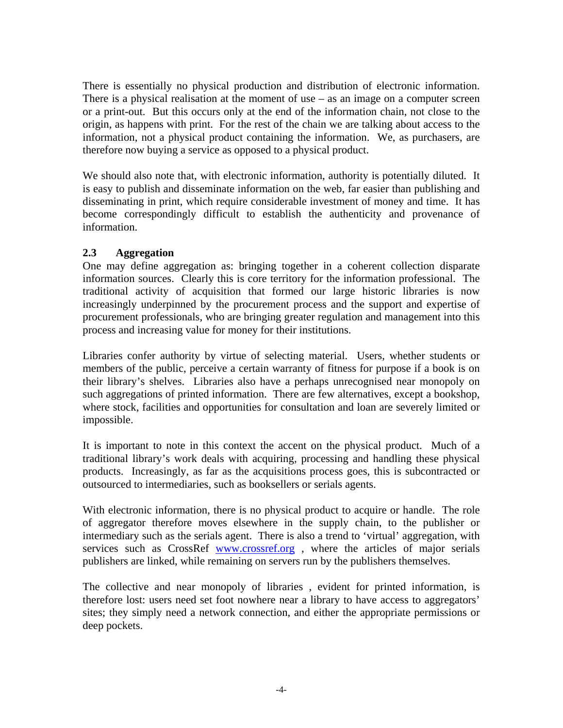There is essentially no physical production and distribution of electronic information. There is a physical realisation at the moment of use  $-$  as an image on a computer screen or a print-out. But this occurs only at the end of the information chain, not close to the origin, as happens with print. For the rest of the chain we are talking about access to the information, not a physical product containing the information. We, as purchasers, are therefore now buying a service as opposed to a physical product.

We should also note that, with electronic information, authority is potentially diluted. It is easy to publish and disseminate information on the web, far easier than publishing and disseminating in print, which require considerable investment of money and time. It has become correspondingly difficult to establish the authenticity and provenance of information.

## **2.3 Aggregation**

One may define aggregation as: bringing together in a coherent collection disparate information sources. Clearly this is core territory for the information professional. The traditional activity of acquisition that formed our large historic libraries is now increasingly underpinned by the procurement process and the support and expertise of procurement professionals, who are bringing greater regulation and management into this process and increasing value for money for their institutions.

Libraries confer authority by virtue of selecting material. Users, whether students or members of the public, perceive a certain warranty of fitness for purpose if a book is on their library's shelves. Libraries also have a perhaps unrecognised near monopoly on such aggregations of printed information. There are few alternatives, except a bookshop, where stock, facilities and opportunities for consultation and loan are severely limited or impossible.

It is important to note in this context the accent on the physical product. Much of a traditional library's work deals with acquiring, processing and handling these physical products. Increasingly, as far as the acquisitions process goes, this is subcontracted or outsourced to intermediaries, such as booksellers or serials agents.

With electronic information, there is no physical product to acquire or handle. The role of aggregator therefore moves elsewhere in the supply chain, to the publisher or intermediary such as the serials agent. There is also a trend to 'virtual' aggregation, with services such as CrossRef www.crossref.org, where the articles of major serials publishers are linked, while remaining on servers run by the publishers themselves.

The collective and near monopoly of libraries , evident for printed information, is therefore lost: users need set foot nowhere near a library to have access to aggregators' sites; they simply need a network connection, and either the appropriate permissions or deep pockets.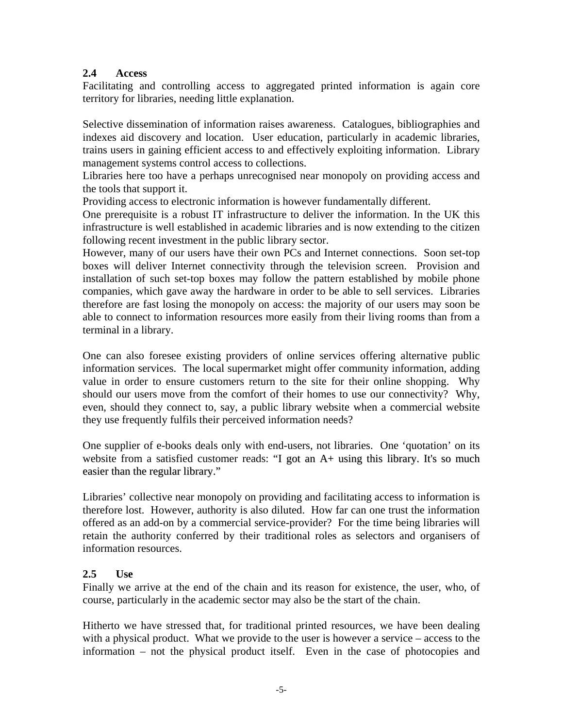#### **2.4 Access**

Facilitating and controlling access to aggregated printed information is again core territory for libraries, needing little explanation.

Selective dissemination of information raises awareness. Catalogues, bibliographies and indexes aid discovery and location. User education, particularly in academic libraries, trains users in gaining efficient access to and effectively exploiting information. Library management systems control access to collections.

Libraries here too have a perhaps unrecognised near monopoly on providing access and the tools that support it.

Providing access to electronic information is however fundamentally different.

One prerequisite is a robust IT infrastructure to deliver the information. In the UK this infrastructure is well established in academic libraries and is now extending to the citizen following recent investment in the public library sector.

However, many of our users have their own PCs and Internet connections. Soon set-top boxes will deliver Internet connectivity through the television screen. Provision and installation of such set-top boxes may follow the pattern established by mobile phone companies, which gave away the hardware in order to be able to sell services. Libraries therefore are fast losing the monopoly on access: the majority of our users may soon be able to connect to information resources more easily from their living rooms than from a terminal in a library.

One can also foresee existing providers of online services offering alternative public information services. The local supermarket might offer community information, adding value in order to ensure customers return to the site for their online shopping. Why should our users move from the comfort of their homes to use our connectivity? Why, even, should they connect to, say, a public library website when a commercial website they use frequently fulfils their perceived information needs?

One supplier of e-books deals only with end-users, not libraries. One 'quotation' on its website from a satisfied customer reads: "I got an A+ using this library. It's so much easier than the regular library."

Libraries' collective near monopoly on providing and facilitating access to information is therefore lost. However, authority is also diluted. How far can one trust the information offered as an add-on by a commercial service-provider? For the time being libraries will retain the authority conferred by their traditional roles as selectors and organisers of information resources.

### **2.5 Use**

Finally we arrive at the end of the chain and its reason for existence, the user, who, of course, particularly in the academic sector may also be the start of the chain.

Hitherto we have stressed that, for traditional printed resources, we have been dealing with a physical product. What we provide to the user is however a service – access to the information – not the physical product itself. Even in the case of photocopies and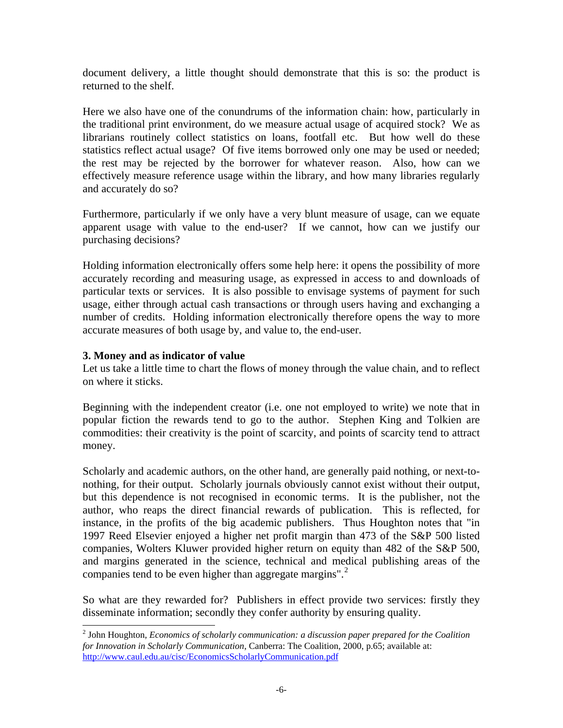document delivery, a little thought should demonstrate that this is so: the product is returned to the shelf.

Here we also have one of the conundrums of the information chain: how, particularly in the traditional print environment, do we measure actual usage of acquired stock? We as librarians routinely collect statistics on loans, footfall etc. But how well do these statistics reflect actual usage? Of five items borrowed only one may be used or needed; the rest may be rejected by the borrower for whatever reason. Also, how can we effectively measure reference usage within the library, and how many libraries regularly and accurately do so?

Furthermore, particularly if we only have a very blunt measure of usage, can we equate apparent usage with value to the end-user? If we cannot, how can we justify our purchasing decisions?

Holding information electronically offers some help here: it opens the possibility of more accurately recording and measuring usage, as expressed in access to and downloads of particular texts or services. It is also possible to envisage systems of payment for such usage, either through actual cash transactions or through users having and exchanging a number of credits. Holding information electronically therefore opens the way to more accurate measures of both usage by, and value to, the end-user.

#### **3. Money and as indicator of value**

 $\overline{a}$ 

Let us take a little time to chart the flows of money through the value chain, and to reflect on where it sticks.

Beginning with the independent creator (i.e. one not employed to write) we note that in popular fiction the rewards tend to go to the author. Stephen King and Tolkien are commodities: their creativity is the point of scarcity, and points of scarcity tend to attract money.

Scholarly and academic authors, on the other hand, are generally paid nothing, or next-tonothing, for their output. Scholarly journals obviously cannot exist without their output, but this dependence is not recognised in economic terms. It is the publisher, not the author, who reaps the direct financial rewards of publication. This is reflected, for instance, in the profits of the big academic publishers. Thus Houghton notes that "in 1997 Reed Elsevier enjoyed a higher net profit margin than 473 of the S&P 500 listed companies, Wolters Kluwer provided higher return on equity than 482 of the S&P 500, and margins generated in the science, technical and medical publishing areas of the companies tend to be even higher than aggregate margins". $2^2$  $2^2$ 

So what are they rewarded for? Publishers in effect provide two services: firstly they disseminate information; secondly they confer authority by ensuring quality.

<span id="page-5-0"></span><sup>2</sup> John Houghton, *Economics of scholarly communication: a discussion paper prepared for the Coalition for Innovation in Scholarly Communication*, Canberra: The Coalition, 2000, p.65; available at: <http://www.caul.edu.au/cisc/EconomicsScholarlyCommunication.pdf>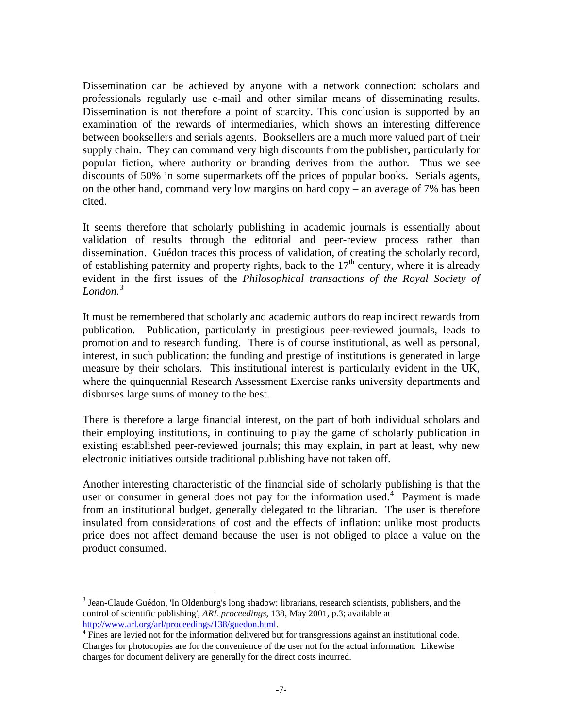Dissemination can be achieved by anyone with a network connection: scholars and professionals regularly use e-mail and other similar means of disseminating results. Dissemination is not therefore a point of scarcity. This conclusion is supported by an examination of the rewards of intermediaries, which shows an interesting difference between booksellers and serials agents. Booksellers are a much more valued part of their supply chain. They can command very high discounts from the publisher, particularly for popular fiction, where authority or branding derives from the author. Thus we see discounts of 50% in some supermarkets off the prices of popular books. Serials agents, on the other hand, command very low margins on hard copy – an average of 7% has been cited.

It seems therefore that scholarly publishing in academic journals is essentially about validation of results through the editorial and peer-review process rather than dissemination. Guédon traces this process of validation, of creating the scholarly record, of establishing paternity and property rights, back to the  $17<sup>th</sup>$  century, where it is already evident in the first issues of the *Philosophical transactions of the Royal Society of London*. [3](#page-6-0)

It must be remembered that scholarly and academic authors do reap indirect rewards from publication. Publication, particularly in prestigious peer-reviewed journals, leads to promotion and to research funding. There is of course institutional, as well as personal, interest, in such publication: the funding and prestige of institutions is generated in large measure by their scholars. This institutional interest is particularly evident in the UK, where the quinquennial Research Assessment Exercise ranks university departments and disburses large sums of money to the best.

There is therefore a large financial interest, on the part of both individual scholars and their employing institutions, in continuing to play the game of scholarly publication in existing established peer-reviewed journals; this may explain, in part at least, why new electronic initiatives outside traditional publishing have not taken off.

Another interesting characteristic of the financial side of scholarly publishing is that the user or consumer in general does not pay for the information used.<sup>[4](#page-6-1)</sup> Payment is made from an institutional budget, generally delegated to the librarian. The user is therefore insulated from considerations of cost and the effects of inflation: unlike most products price does not affect demand because the user is not obliged to place a value on the product consumed.

 $\overline{a}$ 

<span id="page-6-0"></span><sup>&</sup>lt;sup>3</sup> Jean-Claude Guédon, 'In Oldenburg's long shadow: librarians, research scientists, publishers, and the control of scientific publishing', *ARL proceedings*, 138, May 2001, p.3; available at <http://www.arl.org/arl/proceedings/138/guedon.html>. [4](http://www.arl.org/arl/proceedings/138/guedon.html)

<span id="page-6-1"></span><sup>&</sup>lt;sup>4</sup> Fines are levied not for the information delivered but for transgressions against an institutional code. Charges for photocopies are for the convenience of the user not for the actual information. Likewise charges for document delivery are generally for the direct costs incurred.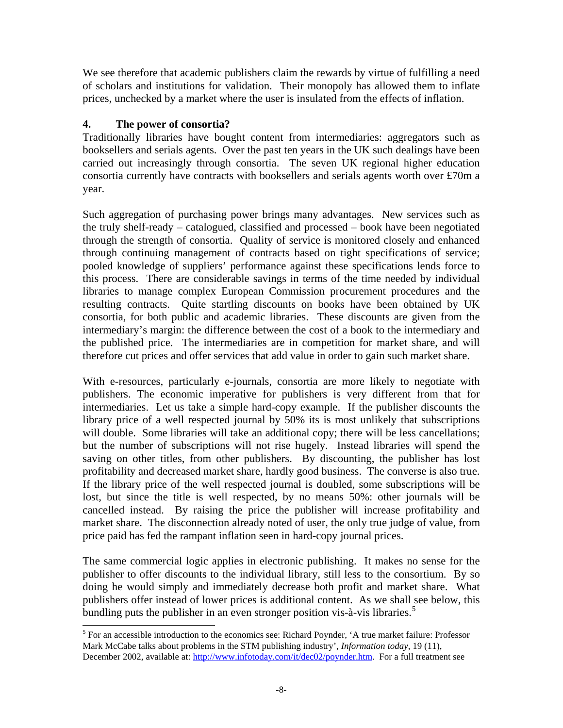We see therefore that academic publishers claim the rewards by virtue of fulfilling a need of scholars and institutions for validation. Their monopoly has allowed them to inflate prices, unchecked by a market where the user is insulated from the effects of inflation.

## **4. The power of consortia?**

 $\overline{a}$ 

Traditionally libraries have bought content from intermediaries: aggregators such as booksellers and serials agents. Over the past ten years in the UK such dealings have been carried out increasingly through consortia. The seven UK regional higher education consortia currently have contracts with booksellers and serials agents worth over £70m a year.

Such aggregation of purchasing power brings many advantages. New services such as the truly shelf-ready – catalogued, classified and processed – book have been negotiated through the strength of consortia. Quality of service is monitored closely and enhanced through continuing management of contracts based on tight specifications of service; pooled knowledge of suppliers' performance against these specifications lends force to this process. There are considerable savings in terms of the time needed by individual libraries to manage complex European Commission procurement procedures and the resulting contracts. Quite startling discounts on books have been obtained by UK consortia, for both public and academic libraries. These discounts are given from the intermediary's margin: the difference between the cost of a book to the intermediary and the published price. The intermediaries are in competition for market share, and will therefore cut prices and offer services that add value in order to gain such market share.

With e-resources, particularly e-journals, consortia are more likely to negotiate with publishers. The economic imperative for publishers is very different from that for intermediaries. Let us take a simple hard-copy example. If the publisher discounts the library price of a well respected journal by 50% its is most unlikely that subscriptions will double. Some libraries will take an additional copy; there will be less cancellations; but the number of subscriptions will not rise hugely. Instead libraries will spend the saving on other titles, from other publishers. By discounting, the publisher has lost profitability and decreased market share, hardly good business. The converse is also true. If the library price of the well respected journal is doubled, some subscriptions will be lost, but since the title is well respected, by no means 50%: other journals will be cancelled instead. By raising the price the publisher will increase profitability and market share. The disconnection already noted of user, the only true judge of value, from price paid has fed the rampant inflation seen in hard-copy journal prices.

The same commercial logic applies in electronic publishing. It makes no sense for the publisher to offer discounts to the individual library, still less to the consortium. By so doing he would simply and immediately decrease both profit and market share. What publishers offer instead of lower prices is additional content. As we shall see below, this bundling puts the publisher in an even stronger position vis- $a$ -vis libraries.<sup>[5](#page-7-0)</sup>

<span id="page-7-0"></span><sup>&</sup>lt;sup>5</sup> For an accessible introduction to the economics see: Richard Poynder, 'A true market failure: Professor Mark McCabe talks about problems in the STM publishing industry', *Information today*, 19 (11), December 2002, available at: <http://www.infotoday.com/it/dec02/poynder.htm>. For a full treatment see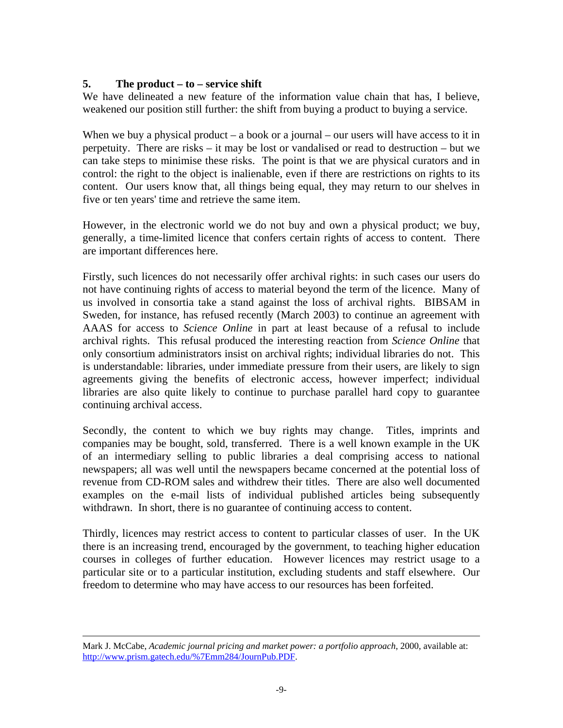### **5. The product – to – service shift**

We have delineated a new feature of the information value chain that has, I believe, weakened our position still further: the shift from buying a product to buying a service.

When we buy a physical product  $-$  a book or a journal  $-$  our users will have access to it in perpetuity. There are risks – it may be lost or vandalised or read to destruction – but we can take steps to minimise these risks. The point is that we are physical curators and in control: the right to the object is inalienable, even if there are restrictions on rights to its content. Our users know that, all things being equal, they may return to our shelves in five or ten years' time and retrieve the same item.

However, in the electronic world we do not buy and own a physical product; we buy, generally, a time-limited licence that confers certain rights of access to content. There are important differences here.

Firstly, such licences do not necessarily offer archival rights: in such cases our users do not have continuing rights of access to material beyond the term of the licence. Many of us involved in consortia take a stand against the loss of archival rights. BIBSAM in Sweden, for instance, has refused recently (March 2003) to continue an agreement with AAAS for access to *Science Online* in part at least because of a refusal to include archival rights. This refusal produced the interesting reaction from *Science Online* that only consortium administrators insist on archival rights; individual libraries do not. This is understandable: libraries, under immediate pressure from their users, are likely to sign agreements giving the benefits of electronic access, however imperfect; individual libraries are also quite likely to continue to purchase parallel hard copy to guarantee continuing archival access.

Secondly, the content to which we buy rights may change. Titles, imprints and companies may be bought, sold, transferred. There is a well known example in the UK of an intermediary selling to public libraries a deal comprising access to national newspapers; all was well until the newspapers became concerned at the potential loss of revenue from CD-ROM sales and withdrew their titles. There are also well documented examples on the e-mail lists of individual published articles being subsequently withdrawn. In short, there is no guarantee of continuing access to content.

Thirdly, licences may restrict access to content to particular classes of user. In the UK there is an increasing trend, encouraged by the government, to teaching higher education courses in colleges of further education. However licences may restrict usage to a particular site or to a particular institution, excluding students and staff elsewhere. Our freedom to determine who may have access to our resources has been forfeited.

 $\overline{a}$ 

Mark J. McCabe, *Academic journal pricing and market power: a portfolio approach*, 2000, available at: <http://www.prism.gatech.edu/%7Emm284/JournPub.PDF>.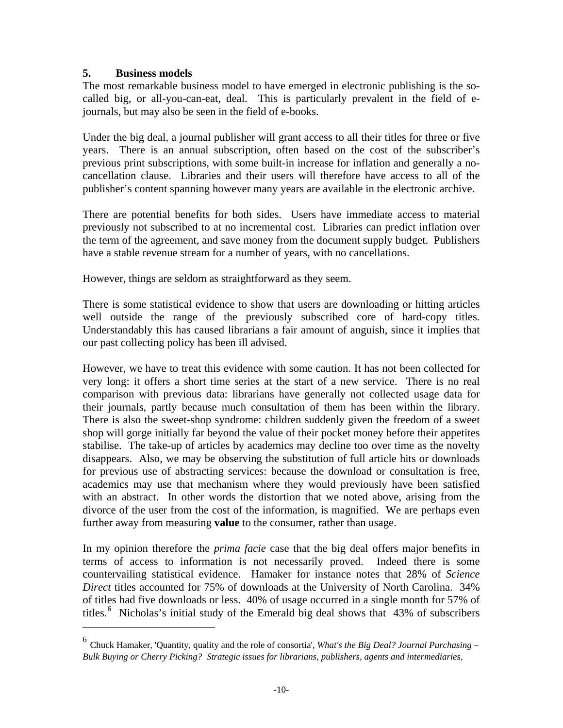### **5. Business models**

 $\overline{a}$ 

The most remarkable business model to have emerged in electronic publishing is the socalled big, or all-you-can-eat, deal. This is particularly prevalent in the field of ejournals, but may also be seen in the field of e-books.

Under the big deal, a journal publisher will grant access to all their titles for three or five years. There is an annual subscription, often based on the cost of the subscriber's previous print subscriptions, with some built-in increase for inflation and generally a nocancellation clause. Libraries and their users will therefore have access to all of the publisher's content spanning however many years are available in the electronic archive.

There are potential benefits for both sides. Users have immediate access to material previously not subscribed to at no incremental cost. Libraries can predict inflation over the term of the agreement, and save money from the document supply budget. Publishers have a stable revenue stream for a number of years, with no cancellations.

However, things are seldom as straightforward as they seem.

There is some statistical evidence to show that users are downloading or hitting articles well outside the range of the previously subscribed core of hard-copy titles. Understandably this has caused librarians a fair amount of anguish, since it implies that our past collecting policy has been ill advised.

However, we have to treat this evidence with some caution. It has not been collected for very long: it offers a short time series at the start of a new service. There is no real comparison with previous data: librarians have generally not collected usage data for their journals, partly because much consultation of them has been within the library. There is also the sweet-shop syndrome: children suddenly given the freedom of a sweet shop will gorge initially far beyond the value of their pocket money before their appetites stabilise. The take-up of articles by academics may decline too over time as the novelty disappears. Also, we may be observing the substitution of full article hits or downloads for previous use of abstracting services: because the download or consultation is free, academics may use that mechanism where they would previously have been satisfied with an abstract. In other words the distortion that we noted above, arising from the divorce of the user from the cost of the information, is magnified. We are perhaps even further away from measuring **value** to the consumer, rather than usage.

In my opinion therefore the *prima facie* case that the big deal offers major benefits in terms of access to information is not necessarily proved. Indeed there is some countervailing statistical evidence. Hamaker for instance notes that 28% of *Science Direct* titles accounted for 75% of downloads at the University of North Carolina. 34% of titles had five downloads or less. 40% of usage occurred in a single month for 57% of titles.<sup>[6](#page-9-0)</sup> Nicholas's initial study of the Emerald big deal shows that 43% of subscribers

<span id="page-9-0"></span><sup>6</sup> Chuck Hamaker, 'Quantity, quality and the role of consortia', *What's the Big Deal? Journal Purchasing – Bulk Buying or Cherry Picking? Strategic issues for librarians, publishers, agents and intermediaries,*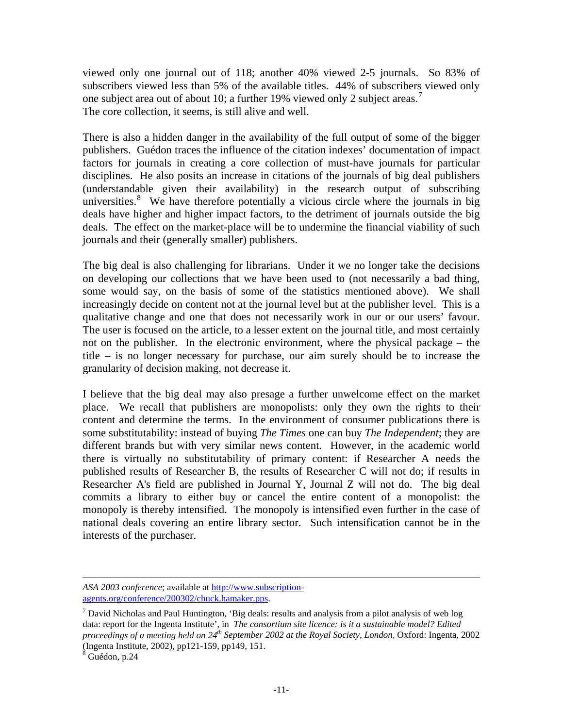viewed only one journal out of 118; another 40% viewed 2-5 journals. So 83% of subscribers viewed less than 5% of the available titles. 44% of subscribers viewed only one subject area out of about 10; a further 19% viewed only 2 subject areas.<sup>[7](#page-10-0)</sup> The core collection, it seems, is still alive and well.

There is also a hidden danger in the availability of the full output of some of the bigger publishers. Guédon traces the influence of the citation indexes' documentation of impact factors for journals in creating a core collection of must-have journals for particular disciplines. He also posits an increase in citations of the journals of big deal publishers (understandable given their availability) in the research output of subscribing universities.<sup>[8](#page-10-1)</sup> We have therefore potentially a vicious circle where the journals in big deals have higher and higher impact factors, to the detriment of journals outside the big deals. The effect on the market-place will be to undermine the financial viability of such journals and their (generally smaller) publishers.

The big deal is also challenging for librarians. Under it we no longer take the decisions on developing our collections that we have been used to (not necessarily a bad thing, some would say, on the basis of some of the statistics mentioned above). We shall increasingly decide on content not at the journal level but at the publisher level. This is a qualitative change and one that does not necessarily work in our or our users' favour. The user is focused on the article, to a lesser extent on the journal title, and most certainly not on the publisher. In the electronic environment, where the physical package – the title – is no longer necessary for purchase, our aim surely should be to increase the granularity of decision making, not decrease it.

I believe that the big deal may also presage a further unwelcome effect on the market place. We recall that publishers are monopolists: only they own the rights to their content and determine the terms. In the environment of consumer publications there is some substitutability: instead of buying *The Times* one can buy *The Independent*; they are different brands but with very similar news content. However, in the academic world there is virtually no substitutability of primary content: if Researcher A needs the published results of Researcher B, the results of Researcher C will not do; if results in Researcher A's field are published in Journal Y, Journal Z will not do. The big deal commits a library to either buy or cancel the entire content of a monopolist: the monopoly is thereby intensified. The monopoly is intensified even further in the case of national deals covering an entire library sector. Such intensification cannot be in the interests of the purchaser.

 $\overline{a}$ 

*ASA 2003 conference*; available at [http://www.subscription](http://www.subscription-agents.org/conference/200302/chuck.hamaker.pps)[agents.org/conference/200302/chuck.hamaker.pps.](http://www.subscription-agents.org/conference/200302/chuck.hamaker.pps)

<span id="page-10-0"></span> $<sup>7</sup>$  David Nicholas and Paul Huntington, 'Big deals: results and analysis from a pilot analysis of web log</sup> data: report for the Ingenta Institute', in *The consortium site licence: is it a sustainable model? Edited proceedings of a meeting held on 24th September 2002 at the Royal Society, London*, Oxford: Ingenta, 2002 (Ingenta Institute, 2002), pp121-159, pp149, 151.

<span id="page-10-1"></span><sup>8</sup> Guédon, p.24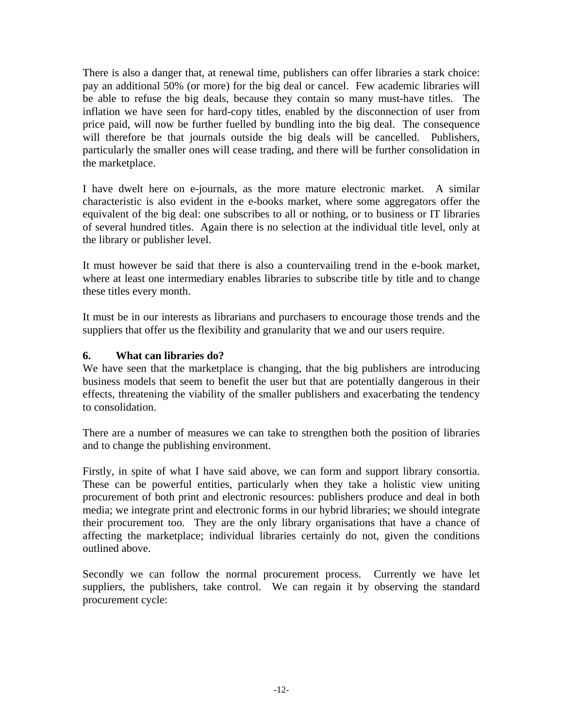There is also a danger that, at renewal time, publishers can offer libraries a stark choice: pay an additional 50% (or more) for the big deal or cancel. Few academic libraries will be able to refuse the big deals, because they contain so many must-have titles. The inflation we have seen for hard-copy titles, enabled by the disconnection of user from price paid, will now be further fuelled by bundling into the big deal. The consequence will therefore be that journals outside the big deals will be cancelled. Publishers, particularly the smaller ones will cease trading, and there will be further consolidation in the marketplace.

I have dwelt here on e-journals, as the more mature electronic market. A similar characteristic is also evident in the e-books market, where some aggregators offer the equivalent of the big deal: one subscribes to all or nothing, or to business or IT libraries of several hundred titles. Again there is no selection at the individual title level, only at the library or publisher level.

It must however be said that there is also a countervailing trend in the e-book market, where at least one intermediary enables libraries to subscribe title by title and to change these titles every month.

It must be in our interests as librarians and purchasers to encourage those trends and the suppliers that offer us the flexibility and granularity that we and our users require.

## **6. What can libraries do?**

We have seen that the marketplace is changing, that the big publishers are introducing business models that seem to benefit the user but that are potentially dangerous in their effects, threatening the viability of the smaller publishers and exacerbating the tendency to consolidation.

There are a number of measures we can take to strengthen both the position of libraries and to change the publishing environment.

Firstly, in spite of what I have said above, we can form and support library consortia. These can be powerful entities, particularly when they take a holistic view uniting procurement of both print and electronic resources: publishers produce and deal in both media; we integrate print and electronic forms in our hybrid libraries; we should integrate their procurement too. They are the only library organisations that have a chance of affecting the marketplace; individual libraries certainly do not, given the conditions outlined above.

Secondly we can follow the normal procurement process. Currently we have let suppliers, the publishers, take control. We can regain it by observing the standard procurement cycle: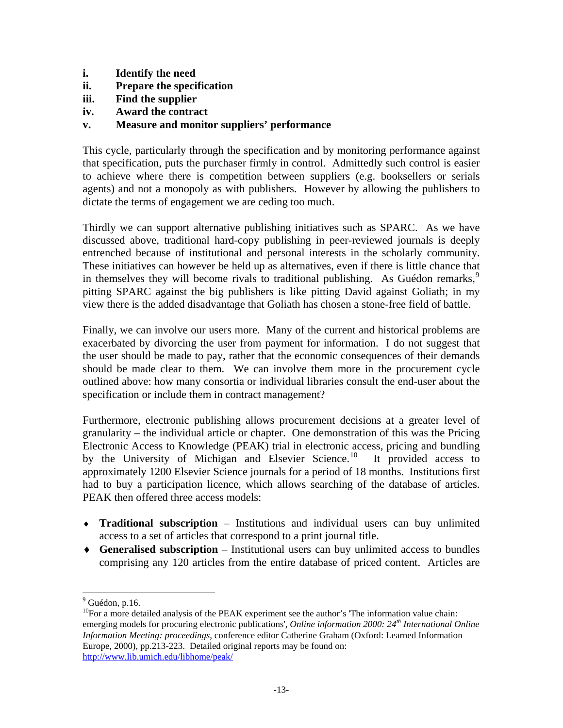- **i. Identify the need**
- **ii. Prepare the specification**
- **iii. Find the supplier**
- **iv. Award the contract**

### **v. Measure and monitor suppliers' performance**

This cycle, particularly through the specification and by monitoring performance against that specification, puts the purchaser firmly in control. Admittedly such control is easier to achieve where there is competition between suppliers (e.g. booksellers or serials agents) and not a monopoly as with publishers. However by allowing the publishers to dictate the terms of engagement we are ceding too much.

Thirdly we can support alternative publishing initiatives such as SPARC. As we have discussed above, traditional hard-copy publishing in peer-reviewed journals is deeply entrenched because of institutional and personal interests in the scholarly community. These initiatives can however be held up as alternatives, even if there is little chance that in themselves they will become rivals to traditional publishing. As Guédon remarks,  $9$ pitting SPARC against the big publishers is like pitting David against Goliath; in my view there is the added disadvantage that Goliath has chosen a stone-free field of battle.

Finally, we can involve our users more. Many of the current and historical problems are exacerbated by divorcing the user from payment for information. I do not suggest that the user should be made to pay, rather that the economic consequences of their demands should be made clear to them. We can involve them more in the procurement cycle outlined above: how many consortia or individual libraries consult the end-user about the specification or include them in contract management?

Furthermore, electronic publishing allows procurement decisions at a greater level of granularity – the individual article or chapter. One demonstration of this was the Pricing Electronic Access to Knowledge (PEAK) trial in electronic access, pricing and bundling by the University of Michigan and Elsevier Science.<sup>[10](#page-12-1)</sup> It provided access to approximately 1200 Elsevier Science journals for a period of 18 months. Institutions first had to buy a participation licence, which allows searching of the database of articles. PEAK then offered three access models:

- ♦ **Traditional subscription** Institutions and individual users can buy unlimited access to a set of articles that correspond to a print journal title.
- ♦ **Generalised subscription** Institutional users can buy unlimited access to bundles comprising any 120 articles from the entire database of priced content. Articles are

<sup>&</sup>lt;sup>9</sup> Guédon, p.16.

<span id="page-12-1"></span><span id="page-12-0"></span><sup>&</sup>lt;sup>10</sup>For a more detailed analysis of the PEAK experiment see the author's 'The information value chain: emerging models for procuring electronic publications', *Online information 2000: 24th International Online Information Meeting: proceedings*, conference editor Catherine Graham (Oxford: Learned Information Europe, 2000), pp.213-223. Detailed original reports may be found on: http://www.lib.umich.edu/libhome/peak/